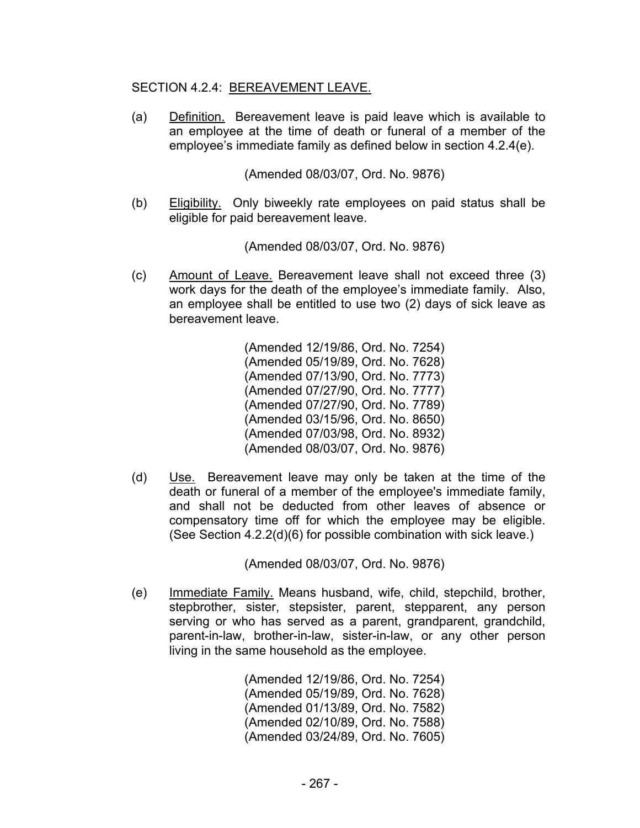## SECTION 4.2.4: BEREAVEMENT LEAVE.

(a) Definition. Bereavement leave is paid leave which is available to an employee at the time of death or funeral of a member of the employee's immediate family as defined below in section 4.2.4(e).

(Amended 08/03/07, Ord. No. 9876)

 (b) Eligibility. Only biweekly rate employees on paid status shall be eligible for paid bereavement leave.

(Amended 08/03/07, Ord. No. 9876)

 (c) Amount of Leave. Bereavement leave shall not exceed three (3) work days for the death of the employee's immediate family. Also, an employee shall be entitled to use two (2) days of sick leave as bereavement leave.

> (Amended 12/19/86, Ord. No. 7254) (Amended 05/19/89, Ord. No. 7628) (Amended 07/13/90, Ord. No. 7773) (Amended 07/27/90, Ord. No. 7777) (Amended 07/27/90, Ord. No. 7789) (Amended 03/15/96, Ord. No. 8650) (Amended 07/03/98, Ord. No. 8932) (Amended 08/03/07, Ord. No. 9876)

 (d) Use. Bereavement leave may only be taken at the time of the death or funeral of a member of the employee's immediate family, and shall not be deducted from other leaves of absence or compensatory time off for which the employee may be eligible. (See Section 4.2.2(d)(6) for possible combination with sick leave.)

(Amended 08/03/07, Ord. No. 9876)

(e) Immediate Family. Means husband, wife, child, stepchild, brother, stepbrother, sister, stepsister, parent, stepparent, any person serving or who has served as a parent, grandparent, grandchild, parent-in-law, brother-in-law, sister-in-law, or any other person living in the same household as the employee.

> (Amended 12/19/86, Ord. No. 7254) (Amended 05/19/89, Ord. No. 7628) (Amended 01/13/89, Ord. No. 7582) (Amended 02/10/89, Ord. No. 7588) (Amended 03/24/89, Ord. No. 7605)